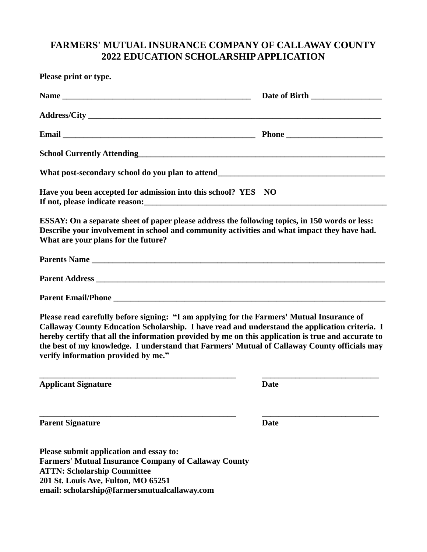# **FARMERS' MUTUAL INSURANCE COMPANY OF CALLAWAY COUNTY 2022 EDUCATION SCHOLARSHIP APPLICATION**

| Please print or type.                                                                                                                                                                                                                                                                                                                                                                                                                   |             |
|-----------------------------------------------------------------------------------------------------------------------------------------------------------------------------------------------------------------------------------------------------------------------------------------------------------------------------------------------------------------------------------------------------------------------------------------|-------------|
|                                                                                                                                                                                                                                                                                                                                                                                                                                         |             |
|                                                                                                                                                                                                                                                                                                                                                                                                                                         |             |
|                                                                                                                                                                                                                                                                                                                                                                                                                                         |             |
|                                                                                                                                                                                                                                                                                                                                                                                                                                         |             |
|                                                                                                                                                                                                                                                                                                                                                                                                                                         |             |
| Have you been accepted for admission into this school? YES NO                                                                                                                                                                                                                                                                                                                                                                           |             |
| ESSAY: On a separate sheet of paper please address the following topics, in 150 words or less:<br>Describe your involvement in school and community activities and what impact they have had.<br>What are your plans for the future?                                                                                                                                                                                                    |             |
|                                                                                                                                                                                                                                                                                                                                                                                                                                         |             |
|                                                                                                                                                                                                                                                                                                                                                                                                                                         |             |
|                                                                                                                                                                                                                                                                                                                                                                                                                                         |             |
| Please read carefully before signing: "I am applying for the Farmers' Mutual Insurance of<br>Callaway County Education Scholarship. I have read and understand the application criteria. I<br>hereby certify that all the information provided by me on this application is true and accurate to<br>the best of my knowledge. I understand that Farmers' Mutual of Callaway County officials may<br>verify information provided by me." |             |
| <b>Applicant Signature</b>                                                                                                                                                                                                                                                                                                                                                                                                              | <b>Date</b> |
| <b>Parent Signature</b>                                                                                                                                                                                                                                                                                                                                                                                                                 | <b>Date</b> |
| Please submit application and essay to:<br><b>Farmers' Mutual Insurance Company of Callaway County</b><br><b>ATTN: Scholarship Committee</b><br>201 St. Louis Ave, Fulton, MO 65251<br>email: scholarship@farmersmutualcallaway.com                                                                                                                                                                                                     |             |